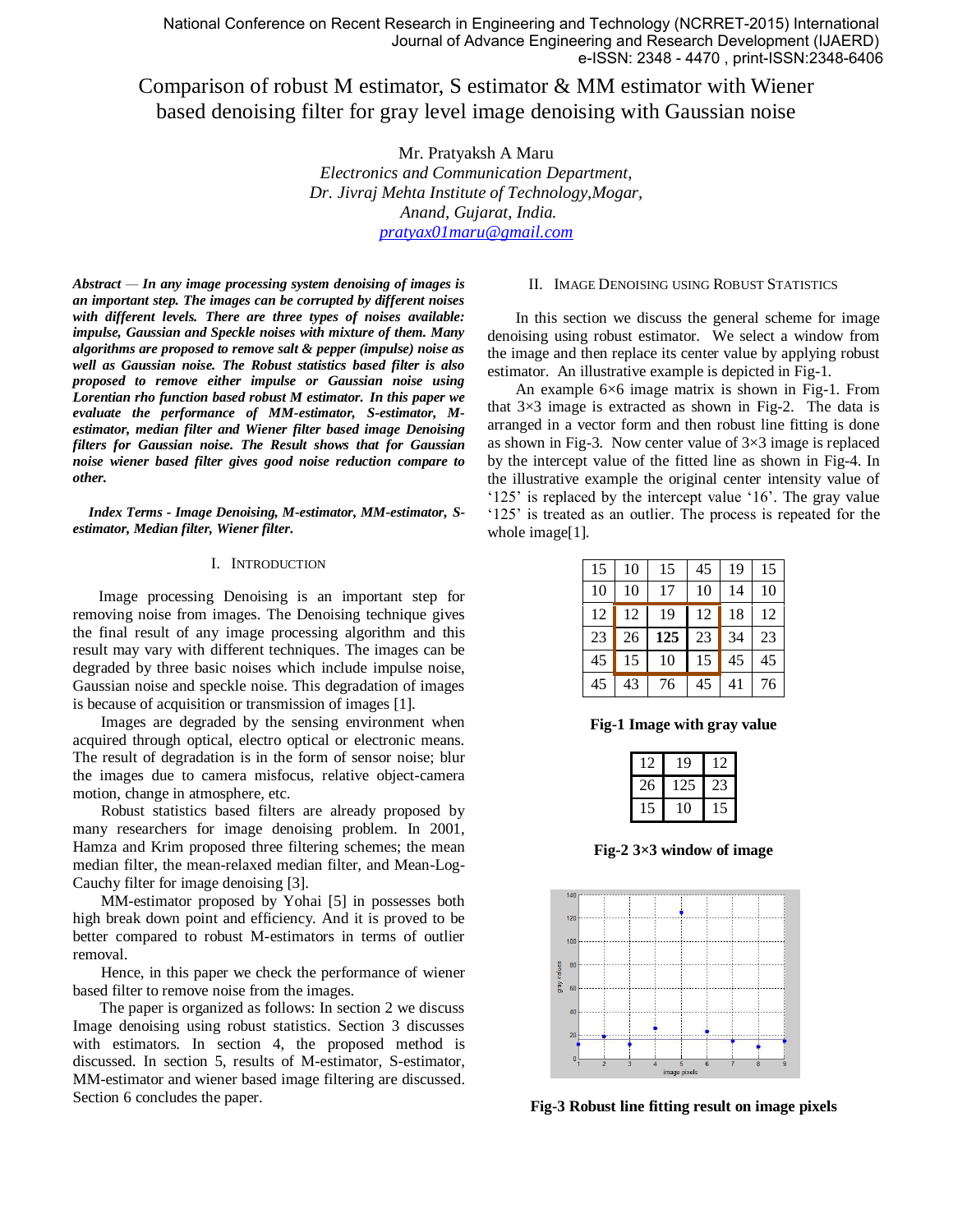# Comparison of robust M estimator, S estimator & MM estimator with Wiener based denoising filter for gray level image denoising with Gaussian noise

Mr. Pratyaksh A Maru

*Electronics and Communication Department, Dr. Jivraj Mehta Institute of Technology,Mogar, Anand, Gujarat, India. [pratyax01maru@gmail.com](mailto:pratyax01maru@gmail.com)*

*Abstract — In any image processing system denoising of images is an important step. The images can be corrupted by different noises with different levels. There are three types of noises available: impulse, Gaussian and Speckle noises with mixture of them. Many algorithms are proposed to remove salt & pepper (impulse) noise as well as Gaussian noise. The Robust statistics based filter is also proposed to remove either impulse or Gaussian noise using Lorentian rho function based robust M estimator. In this paper we evaluate the performance of MM-estimator, S-estimator, Mestimator, median filter and Wiener filter based image Denoising filters for Gaussian noise. The Result shows that for Gaussian noise wiener based filter gives good noise reduction compare to other.*

*Index Terms - Image Denoising, M-estimator, MM-estimator, Sestimator, Median filter, Wiener filter.*

#### I. INTRODUCTION

Image processing Denoising is an important step for removing noise from images. The Denoising technique gives the final result of any image processing algorithm and this result may vary with different techniques. The images can be degraded by three basic noises which include impulse noise, Gaussian noise and speckle noise. This degradation of images is because of acquisition or transmission of images [1].

Images are degraded by the sensing environment when acquired through optical, electro optical or electronic means. The result of degradation is in the form of sensor noise; blur the images due to camera misfocus, relative object-camera motion, change in atmosphere, etc.

Robust statistics based filters are already proposed by many researchers for image denoising problem. In 2001, Hamza and Krim proposed three filtering schemes; the mean median filter, the mean-relaxed median filter, and Mean-Log-Cauchy filter for image denoising [3].

MM-estimator proposed by Yohai [5] in possesses both high break down point and efficiency. And it is proved to be better compared to robust M-estimators in terms of outlier removal.

Hence, in this paper we check the performance of wiener based filter to remove noise from the images.

 The paper is organized as follows: In section 2 we discuss Image denoising using robust statistics. Section 3 discusses with estimators. In section 4, the proposed method is discussed. In section 5, results of M-estimator, S-estimator, MM-estimator and wiener based image filtering are discussed. Section 6 concludes the paper.

#### II. IMAGE DENOISING USING ROBUST STATISTICS

In this section we discuss the general scheme for image denoising using robust estimator. We select a window from the image and then replace its center value by applying robust estimator. An illustrative example is depicted in Fig-1.

An example 6×6 image matrix is shown in Fig-1. From that  $3\times3$  image is extracted as shown in Fig-2. The data is arranged in a vector form and then robust line fitting is done as shown in Fig-3. Now center value of  $3\times3$  image is replaced by the intercept value of the fitted line as shown in Fig-4. In the illustrative example the original center intensity value of "125" is replaced by the intercept value "16". The gray value "125" is treated as an outlier. The process is repeated for the whole image[1].

| 15 | 10 | 15  | 45 | 19 | 15 |
|----|----|-----|----|----|----|
| 10 | 10 | 17  | 10 | 14 | 10 |
| 12 | 12 | 19  | 12 | 18 | 12 |
| 23 | 26 | 125 | 23 | 34 | 23 |
| 45 | 15 | 10  | 15 | 45 | 45 |
| 45 | 43 | 76  | 45 | 41 | 76 |

**Fig-1 Image with gray value**

|    | 9   |   |
|----|-----|---|
| 26 | 125 | ч |
|    | 0   | 5 |

**Fig-2 3×3 window of image**



**Fig-3 Robust line fitting result on image pixels**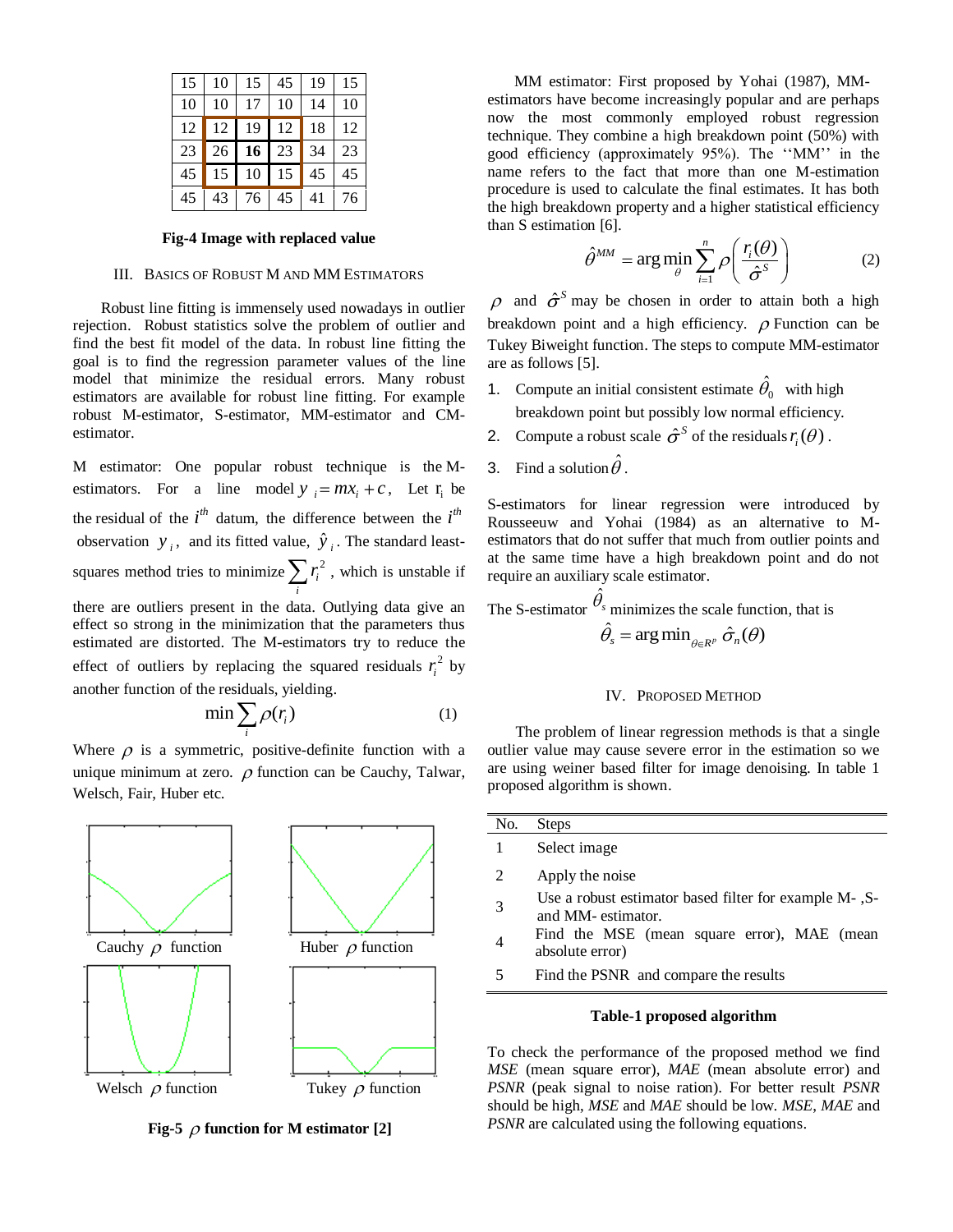| 15 <sub>1</sub> | -10 | $\vert$ 15           | 45         | l 19 | 15 |
|-----------------|-----|----------------------|------------|------|----|
| 10              | 10  | 17 10                |            | 14   | 10 |
| 12              |     | 12 19                | 12         | 18   | 12 |
| 23              |     | $26 \mid 16 \mid 23$ |            | 34   | 23 |
| 45              |     | 15 10                | $\vert$ 15 | 45   | 45 |
| 45              |     | 43 76 45             |            | 41   | 76 |

## **Fig-4 Image with replaced value**

#### III. BASICS OF ROBUST M AND MM ESTIMATORS

Robust line fitting is immensely used nowadays in outlier rejection. Robust statistics solve the problem of outlier and find the best fit model of the data. In robust line fitting the goal is to find the regression parameter values of the line model that minimize the residual errors. Many robust estimators are available for robust line fitting. For example robust M-estimator, S-estimator, MM-estimator and CMestimator.

M estimator: One popular robust technique is the Mestimators. For a line model  $y_i = mx_i + c$ , Let  $r_i$  be the residual of the  $i<sup>th</sup>$  datum, the difference between the  $i<sup>th</sup>$ observation  $y_i$ , and its fitted value,  $\hat{y}_i$ . The standard leastsquares method tries to minimize  $\sum_{i} r_i^2$  $r_i^2$ , which is unstable if *i* there are outliers present in the data. Outlying data give an

effect so strong in the minimization that the parameters thus estimated are distorted. The M-estimators try to reduce the effect of outliers by replacing the squared residuals  $r_i^2$  $r_i^2$  by another function of the residuals, yielding.

$$
\min \sum_{i} \rho(r_i) \tag{1}
$$

Where  $\rho$  is a symmetric, positive-definite function with a unique minimum at zero.  $\rho$  function can be Cauchy, Talwar, Welsch, Fair, Huber etc.



**Fig-5**  $\rho$  function for M estimator [2]

 MM estimator: First proposed by Yohai (1987), MMestimators have become increasingly popular and are perhaps now the most commonly employed robust regression technique. They combine a high breakdown point (50%) with good efficiency (approximately 95%). The ""MM"" in the name refers to the fact that more than one M-estimation procedure is used to calculate the final estimates. It has both the high breakdown property and a higher statistical efficiency than S estimation [6].

$$
\hat{\theta}^{MM} = \arg\min_{\theta} \sum_{i=1}^{n} \rho \left( \frac{r_i(\theta)}{\hat{\sigma}^s} \right)
$$
 (2)

and  $\hat{\sigma}^s$  may be chosen in order to attain both a high breakdown point and a high efficiency.  $\rho$  Function can be Tukey Biweight function. The steps to compute MM-estimator are as follows [5].

- 1. Compute an initial consistent estimate  $\hat{\theta}_0$  with high breakdown point but possibly low normal efficiency.
- 2. Compute a robust scale  $\hat{\sigma}^s$  of the residuals  $r_i(\theta)$ .
- **3.** Find a solution  $\hat{\theta}$ .

S-estimators for linear regression were introduced by Rousseeuw and Yohai (1984) as an alternative to Mestimators that do not suffer that much from outlier points and at the same time have a high breakdown point and do not require an auxiliary scale estimator.

The S-estimator  $\hat{\theta}_s$  minimizes the scale function, that is  $\hat{\theta}_s = \arg \min_{\theta \in R^p} \hat{\sigma}_n(\theta)$ 

#### IV. PROPOSED METHOD

The problem of linear regression methods is that a single outlier value may cause severe error in the estimation so we are using weiner based filter for image denoising. In table 1 proposed algorithm is shown.

| No. | <b>Steps</b>                                                                |
|-----|-----------------------------------------------------------------------------|
| 1   | Select image                                                                |
| 2   | Apply the noise                                                             |
| 3   | Use a robust estimator based filter for example M-, S-<br>and MM-estimator. |
|     | Find the MSE (mean square error), MAE (mean<br>absolute error)              |
| 5   | Find the PSNR and compare the results                                       |
|     |                                                                             |

## **Table-1 proposed algorithm**

To check the performance of the proposed method we find *MSE* (mean square error), *MAE* (mean absolute error) and *PSNR* (peak signal to noise ration). For better result *PSNR* should be high, *MSE* and *MAE* should be low. *MSE*, *MAE* and *PSNR* are calculated using the following equations.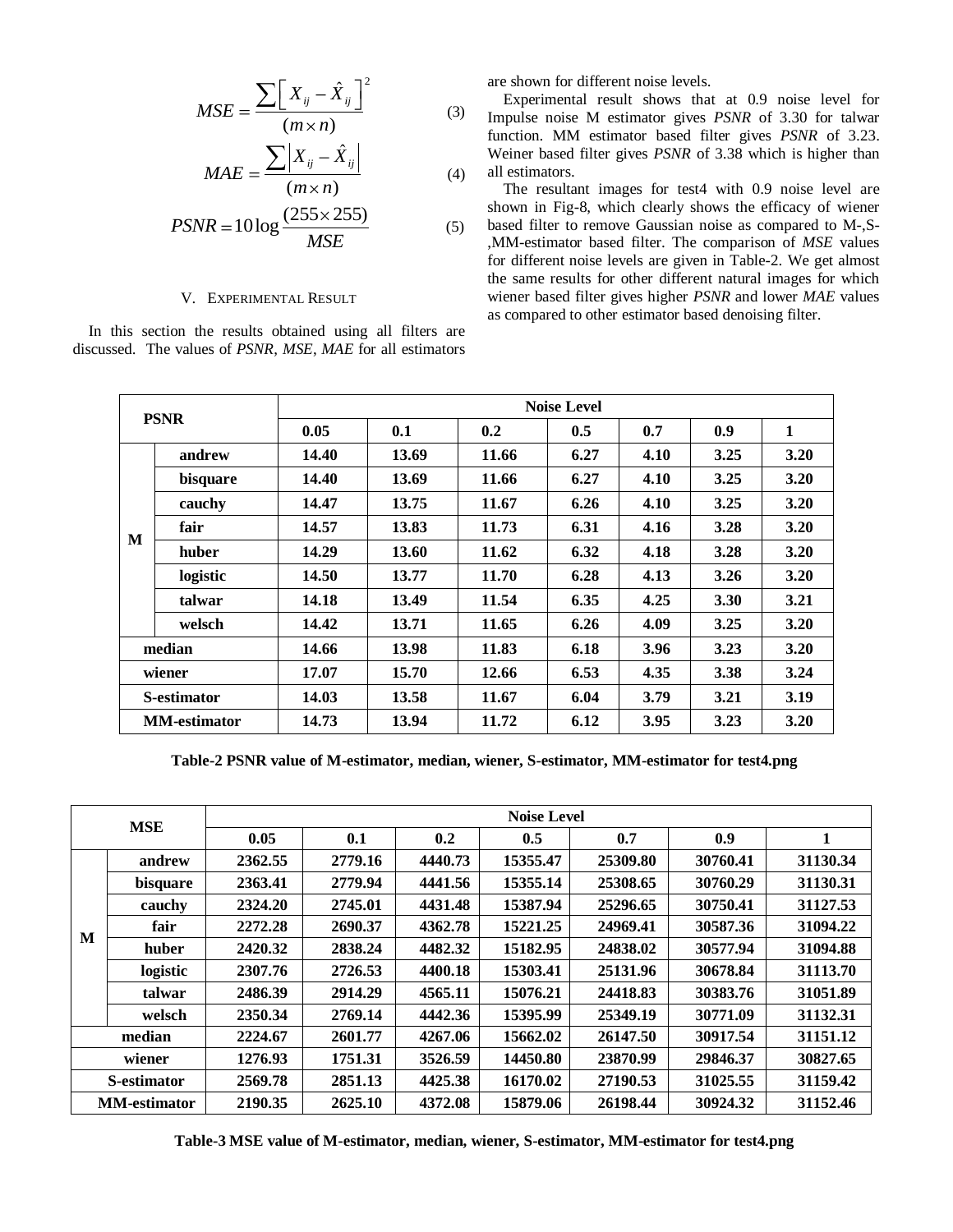$$
MSE = \frac{\sum \left[ X_{ij} - \hat{X}_{ij} \right]^2}{(m \times n)}
$$
(3)

$$
MAE = \frac{\sum \left| X_{ij} - \hat{X}_{ij} \right|}{(m \times n)}
$$
(4)

$$
PSNR = 10 \log \frac{(255 \times 255)}{MSE}
$$
 (5)

## V. EXPERIMENTAL RESULT

In this section the results obtained using all filters are discussed. The values of *PSNR*, *MSE*, *MAE* for all estimators are shown for different noise levels.

Experimental result shows that at 0.9 noise level for Impulse noise M estimator gives *PSNR* of 3.30 for talwar function. MM estimator based filter gives *PSNR* of 3.23. Weiner based filter gives *PSNR* of 3.38 which is higher than all estimators.

The resultant images for test4 with 0.9 noise level are shown in Fig-8, which clearly shows the efficacy of wiener based filter to remove Gaussian noise as compared to M-,S- ,MM-estimator based filter. The comparison of *MSE* values for different noise levels are given in Table-2. We get almost the same results for other different natural images for which wiener based filter gives higher *PSNR* and lower *MAE* values as compared to other estimator based denoising filter.

| <b>PSNR</b>         |          | <b>Noise Level</b> |       |       |      |      |             |      |  |  |
|---------------------|----------|--------------------|-------|-------|------|------|-------------|------|--|--|
|                     |          | 0.05               | 0.1   | 0.2   | 0.5  | 0.7  | 0.9         | 1    |  |  |
|                     | andrew   | 14.40              | 13.69 | 11.66 | 6.27 | 4.10 | 3.25        | 3.20 |  |  |
|                     | bisquare | 14.40              | 13.69 | 11.66 | 6.27 | 4.10 | 3.25        | 3.20 |  |  |
|                     | cauchy   | 14.47              | 13.75 | 11.67 | 6.26 | 4.10 | 3.25        | 3.20 |  |  |
|                     | fair     | 14.57              | 13.83 | 11.73 | 6.31 | 4.16 | 3.28        | 3.20 |  |  |
| M                   | huber    | 14.29              | 13.60 | 11.62 | 6.32 | 4.18 | 3.28        | 3.20 |  |  |
|                     | logistic | 14.50              | 13.77 | 11.70 | 6.28 | 4.13 | 3.26        | 3.20 |  |  |
|                     | talwar   | 14.18              | 13.49 | 11.54 | 6.35 | 4.25 | <b>3.30</b> | 3.21 |  |  |
|                     | welsch   | 14.42              | 13.71 | 11.65 | 6.26 | 4.09 | 3.25        | 3.20 |  |  |
| median              |          | 14.66              | 13.98 | 11.83 | 6.18 | 3.96 | 3.23        | 3.20 |  |  |
| wiener              |          | 17.07              | 15.70 | 12.66 | 6.53 | 4.35 | 3.38        | 3.24 |  |  |
| <b>S-estimator</b>  |          | 14.03              | 13.58 | 11.67 | 6.04 | 3.79 | 3.21        | 3.19 |  |  |
| <b>MM-estimator</b> |          | 14.73              | 13.94 | 11.72 | 6.12 | 3.95 | 3.23        | 3.20 |  |  |

**Table-2 PSNR value of M-estimator, median, wiener, S-estimator, MM-estimator for test4.png**

| <b>MSE</b>          |          | <b>Noise Level</b> |         |         |          |          |          |          |  |
|---------------------|----------|--------------------|---------|---------|----------|----------|----------|----------|--|
|                     |          | 0.05               | 0.1     | 0.2     | 0.5      | 0.7      | 0.9      |          |  |
|                     | andrew   | 2362.55            | 2779.16 | 4440.73 | 15355.47 | 25309.80 | 30760.41 | 31130.34 |  |
|                     | bisquare | 2363.41            | 2779.94 | 4441.56 | 15355.14 | 25308.65 | 30760.29 | 31130.31 |  |
|                     | cauchy   | 2324.20            | 2745.01 | 4431.48 | 15387.94 | 25296.65 | 30750.41 | 31127.53 |  |
| M                   | fair     | 2272.28            | 2690.37 | 4362.78 | 15221.25 | 24969.41 | 30587.36 | 31094.22 |  |
|                     | huber    | 2420.32            | 2838.24 | 4482.32 | 15182.95 | 24838.02 | 30577.94 | 31094.88 |  |
|                     | logistic | 2307.76            | 2726.53 | 4400.18 | 15303.41 | 25131.96 | 30678.84 | 31113.70 |  |
|                     | talwar   | 2486.39            | 2914.29 | 4565.11 | 15076.21 | 24418.83 | 30383.76 | 31051.89 |  |
|                     | welsch   | 2350.34            | 2769.14 | 4442.36 | 15395.99 | 25349.19 | 30771.09 | 31132.31 |  |
| median              |          | 2224.67            | 2601.77 | 4267.06 | 15662.02 | 26147.50 | 30917.54 | 31151.12 |  |
| wiener              |          | 1276.93            | 1751.31 | 3526.59 | 14450.80 | 23870.99 | 29846.37 | 30827.65 |  |
| <b>S-estimator</b>  |          | 2569.78            | 2851.13 | 4425.38 | 16170.02 | 27190.53 | 31025.55 | 31159.42 |  |
| <b>MM-estimator</b> |          | 2190.35            | 2625.10 | 4372.08 | 15879.06 | 26198.44 | 30924.32 | 31152.46 |  |

**Table-3 MSE value of M-estimator, median, wiener, S-estimator, MM-estimator for test4.png**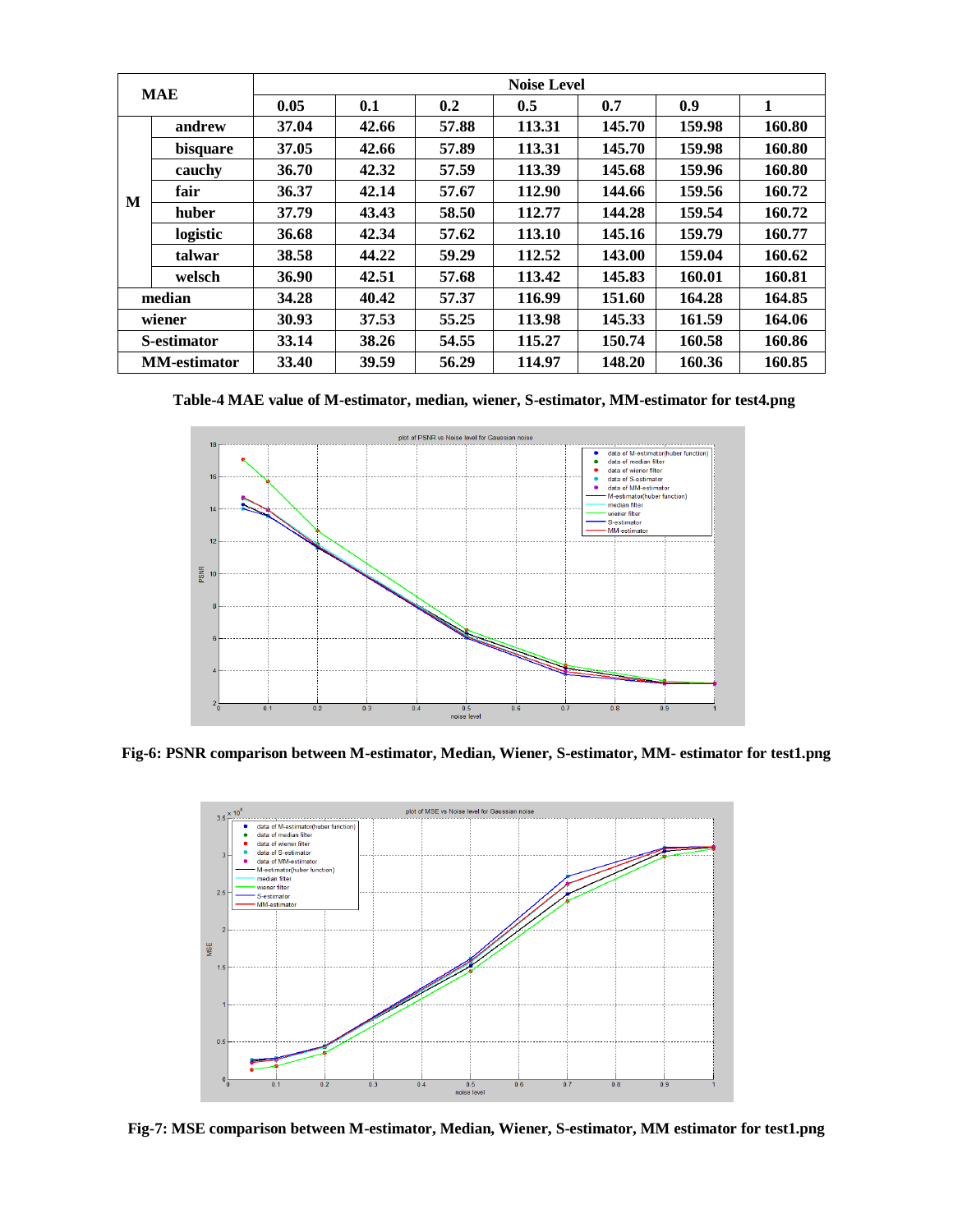| <b>MAE</b>          |          | <b>Noise Level</b> |       |       |        |        |        |        |  |
|---------------------|----------|--------------------|-------|-------|--------|--------|--------|--------|--|
|                     |          | 0.05               | 0.1   | 0.2   | 0.5    | 0.7    | 0.9    | 1      |  |
|                     | andrew   | 37.04              | 42.66 | 57.88 | 113.31 | 145.70 | 159.98 | 160.80 |  |
|                     | bisquare | 37.05              | 42.66 | 57.89 | 113.31 | 145.70 | 159.98 | 160.80 |  |
|                     | cauchy   | 36.70              | 42.32 | 57.59 | 113.39 | 145.68 | 159.96 | 160.80 |  |
| M                   | fair     | 36.37              | 42.14 | 57.67 | 112.90 | 144.66 | 159.56 | 160.72 |  |
|                     | huber    | 37.79              | 43.43 | 58.50 | 112.77 | 144.28 | 159.54 | 160.72 |  |
|                     | logistic | 36.68              | 42.34 | 57.62 | 113.10 | 145.16 | 159.79 | 160.77 |  |
|                     | talwar   | 38.58              | 44.22 | 59.29 | 112.52 | 143.00 | 159.04 | 160.62 |  |
|                     | welsch   | 36.90              | 42.51 | 57.68 | 113.42 | 145.83 | 160.01 | 160.81 |  |
| median              |          | 34.28              | 40.42 | 57.37 | 116.99 | 151.60 | 164.28 | 164.85 |  |
| wiener              |          | 30.93              | 37.53 | 55.25 | 113.98 | 145.33 | 161.59 | 164.06 |  |
| <b>S-estimator</b>  |          | 33.14              | 38.26 | 54.55 | 115.27 | 150.74 | 160.58 | 160.86 |  |
| <b>MM-estimator</b> |          | 33.40              | 39.59 | 56.29 | 114.97 | 148.20 | 160.36 | 160.85 |  |

**Table-4 MAE value of M-estimator, median, wiener, S-estimator, MM-estimator for test4.png**



**Fig-6: PSNR comparison between M-estimator, Median, Wiener, S-estimator, MM- estimator for test1.png**



**Fig-7: MSE comparison between M-estimator, Median, Wiener, S-estimator, MM estimator for test1.png**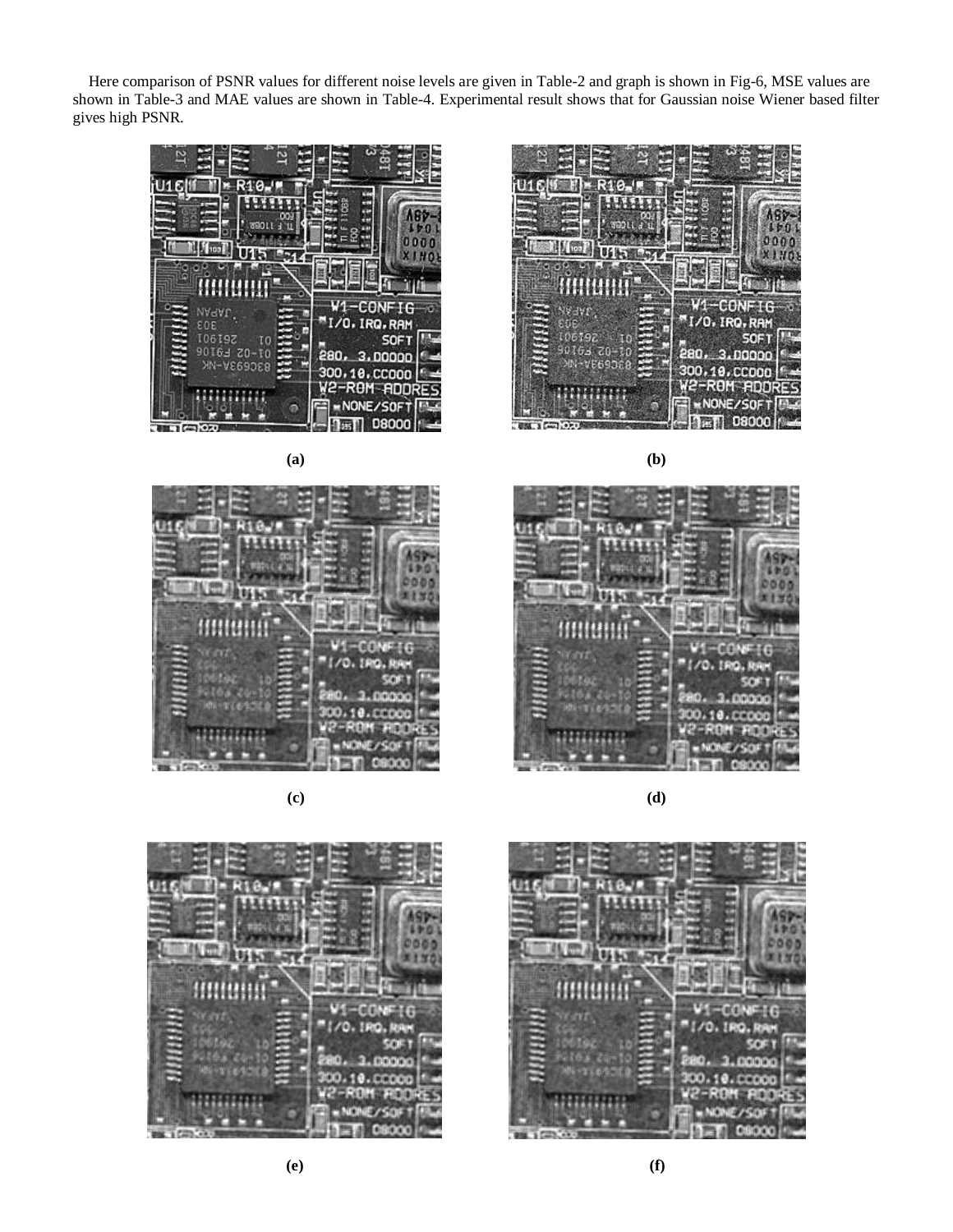Here comparison of PSNR values for different noise levels are given in Table-2 and graph is shown in Fig-6, MSE values are shown in Table-3 and MAE values are shown in Table-4. Experimental result shows that for Gaussian noise Wiener based filter gives high PSNR.





**(c) (d)**









**(e) (f)**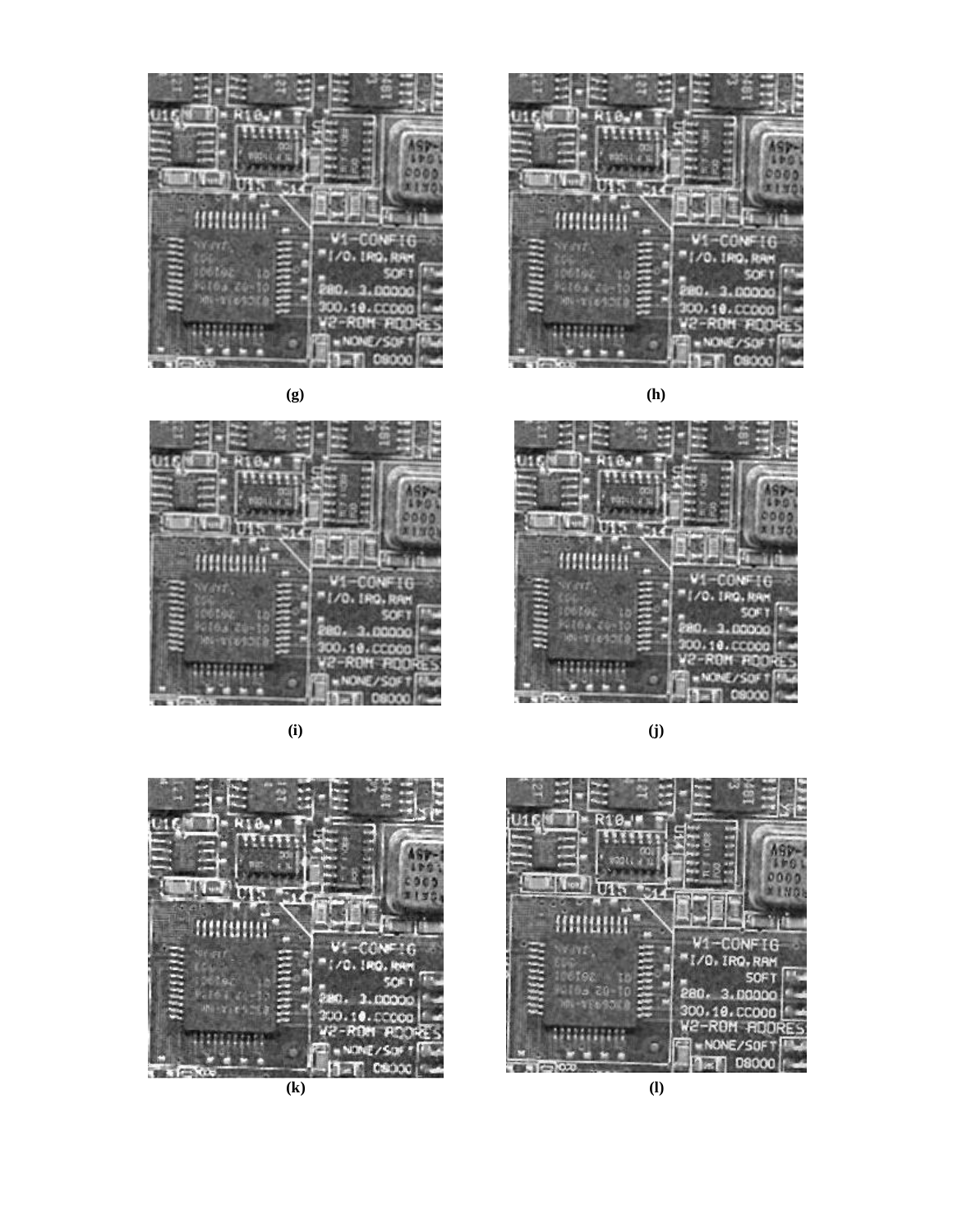



**(i) (j)**





**(g) (h)**